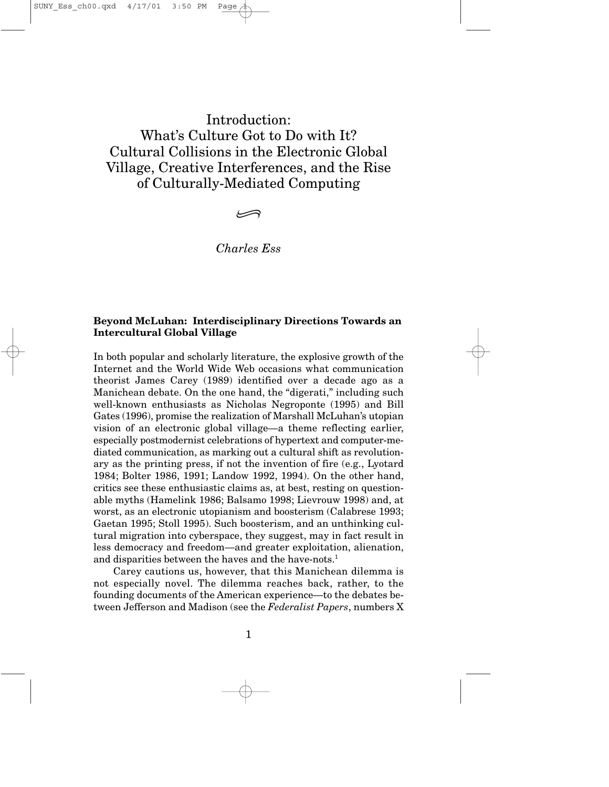Introduction: What's Culture Got to Do with It? Cultural Collisions in the Electronic Global Village, Creative Interferences, and the Rise of Culturally-Mediated Computing

ڪ

# *Charles Ess*

# **Beyond McLuhan: Interdisciplinary Directions Towards an Intercultural Global Village**

In both popular and scholarly literature, the explosive growth of the Internet and the World Wide Web occasions what communication theorist James Carey (1989) identified over a decade ago as a Manichean debate. On the one hand, the "digerati," including such well-known enthusiasts as Nicholas Negroponte (1995) and Bill Gates (1996), promise the realization of Marshall McLuhan's utopian vision of an electronic global village—a theme reflecting earlier, especially postmodernist celebrations of hypertext and computer-mediated communication, as marking out a cultural shift as revolutionary as the printing press, if not the invention of fire (e.g., Lyotard 1984; Bolter 1986, 1991; Landow 1992, 1994). On the other hand, critics see these enthusiastic claims as, at best, resting on questionable myths (Hamelink 1986; Balsamo 1998; Lievrouw 1998) and, at worst, as an electronic utopianism and boosterism (Calabrese 1993; Gaetan 1995; Stoll 1995). Such boosterism, and an unthinking cultural migration into cyberspace, they suggest, may in fact result in less democracy and freedom—and greater exploitation, alienation, and disparities between the haves and the have-nots.<sup>1</sup>

Carey cautions us, however, that this Manichean dilemma is not especially novel. The dilemma reaches back, rather, to the founding documents of the American experience—to the debates between Jefferson and Madison (see the *Federalist Papers*, numbers X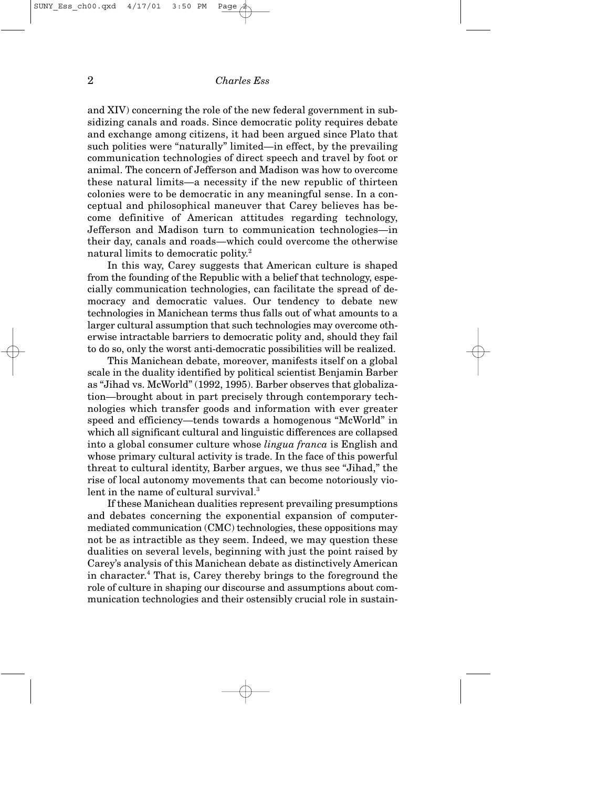and XIV) concerning the role of the new federal government in subsidizing canals and roads. Since democratic polity requires debate and exchange among citizens, it had been argued since Plato that such polities were "naturally" limited—in effect, by the prevailing communication technologies of direct speech and travel by foot or animal. The concern of Jefferson and Madison was how to overcome these natural limits—a necessity if the new republic of thirteen colonies were to be democratic in any meaningful sense. In a conceptual and philosophical maneuver that Carey believes has become definitive of American attitudes regarding technology, Jefferson and Madison turn to communication technologies—in their day, canals and roads—which could overcome the otherwise natural limits to democratic polity.2

In this way, Carey suggests that American culture is shaped from the founding of the Republic with a belief that technology, especially communication technologies, can facilitate the spread of democracy and democratic values. Our tendency to debate new technologies in Manichean terms thus falls out of what amounts to a larger cultural assumption that such technologies may overcome otherwise intractable barriers to democratic polity and, should they fail to do so, only the worst anti-democratic possibilities will be realized.

This Manichean debate, moreover, manifests itself on a global scale in the duality identified by political scientist Benjamin Barber as "Jihad vs. McWorld" (1992, 1995). Barber observes that globalization—brought about in part precisely through contemporary technologies which transfer goods and information with ever greater speed and efficiency—tends towards a homogenous "McWorld" in which all significant cultural and linguistic differences are collapsed into a global consumer culture whose *lingua franca* is English and whose primary cultural activity is trade. In the face of this powerful threat to cultural identity, Barber argues, we thus see "Jihad," the rise of local autonomy movements that can become notoriously violent in the name of cultural survival.<sup>3</sup>

If these Manichean dualities represent prevailing presumptions and debates concerning the exponential expansion of computermediated communication (CMC) technologies, these oppositions may not be as intractible as they seem. Indeed, we may question these dualities on several levels, beginning with just the point raised by Carey's analysis of this Manichean debate as distinctively American in character.4 That is, Carey thereby brings to the foreground the role of culture in shaping our discourse and assumptions about communication technologies and their ostensibly crucial role in sustain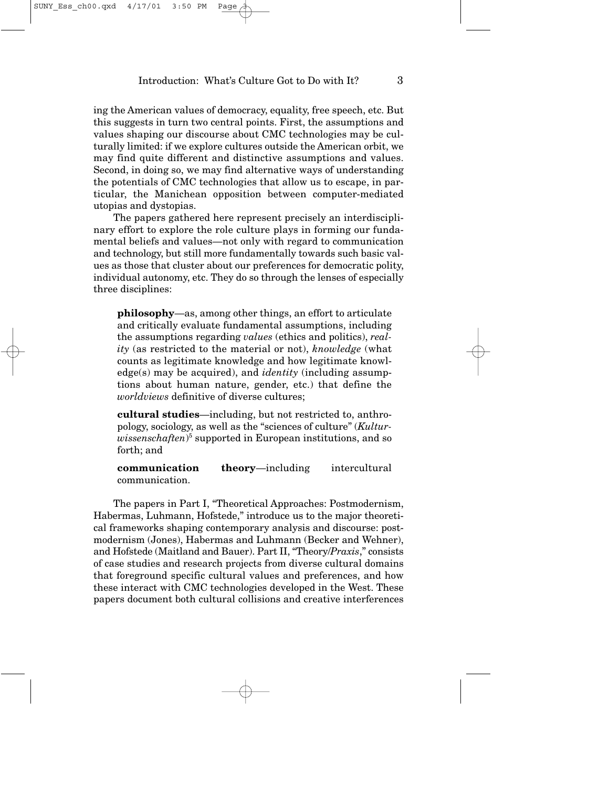ing the American values of democracy, equality, free speech, etc. But this suggests in turn two central points. First, the assumptions and values shaping our discourse about CMC technologies may be culturally limited: if we explore cultures outside the American orbit, we may find quite different and distinctive assumptions and values. Second, in doing so, we may find alternative ways of understanding the potentials of CMC technologies that allow us to escape, in particular, the Manichean opposition between computer-mediated utopias and dystopias.

The papers gathered here represent precisely an interdisciplinary effort to explore the role culture plays in forming our fundamental beliefs and values—not only with regard to communication and technology, but still more fundamentally towards such basic values as those that cluster about our preferences for democratic polity, individual autonomy, etc. They do so through the lenses of especially three disciplines:

**philosophy**—as, among other things, an effort to articulate and critically evaluate fundamental assumptions, including the assumptions regarding *values* (ethics and politics), *reality* (as restricted to the material or not), *knowledge* (what counts as legitimate knowledge and how legitimate knowledge(s) may be acquired), and *identity* (including assumptions about human nature, gender, etc.) that define the *worldviews* definitive of diverse cultures;

**cultural studies**—including, but not restricted to, anthropology, sociology, as well as the "sciences of culture" (*Kulturwissenschaften*) <sup>5</sup> supported in European institutions, and so forth; and

**communication theory**—including intercultural communication.

The papers in Part I, "Theoretical Approaches: Postmodernism, Habermas, Luhmann, Hofstede," introduce us to the major theoretical frameworks shaping contemporary analysis and discourse: postmodernism (Jones), Habermas and Luhmann (Becker and Wehner), and Hofstede (Maitland and Bauer). Part II, "Theory/*Praxis*," consists of case studies and research projects from diverse cultural domains that foreground specific cultural values and preferences, and how these interact with CMC technologies developed in the West. These papers document both cultural collisions and creative interferences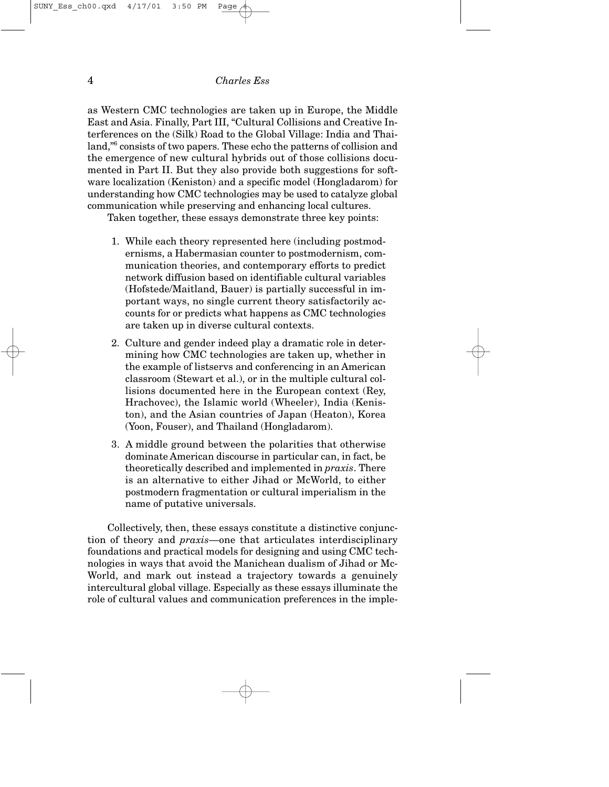as Western CMC technologies are taken up in Europe, the Middle East and Asia. Finally, Part III, "Cultural Collisions and Creative Interferences on the (Silk) Road to the Global Village: India and Thailand,<sup>76</sup> consists of two papers. These echo the patterns of collision and the emergence of new cultural hybrids out of those collisions documented in Part II. But they also provide both suggestions for software localization (Keniston) and a specific model (Hongladarom) for understanding how CMC technologies may be used to catalyze global communication while preserving and enhancing local cultures.

Taken together, these essays demonstrate three key points:

- 1. While each theory represented here (including postmodernisms, a Habermasian counter to postmodernism, communication theories, and contemporary efforts to predict network diffusion based on identifiable cultural variables (Hofstede/Maitland, Bauer) is partially successful in important ways, no single current theory satisfactorily accounts for or predicts what happens as CMC technologies are taken up in diverse cultural contexts.
- 2. Culture and gender indeed play a dramatic role in determining how CMC technologies are taken up, whether in the example of listservs and conferencing in an American classroom (Stewart et al.), or in the multiple cultural collisions documented here in the European context (Rey, Hrachovec), the Islamic world (Wheeler), India (Keniston), and the Asian countries of Japan (Heaton), Korea (Yoon, Fouser), and Thailand (Hongladarom).
- 3. A middle ground between the polarities that otherwise dominate American discourse in particular can, in fact, be theoretically described and implemented in *praxis*. There is an alternative to either Jihad or McWorld, to either postmodern fragmentation or cultural imperialism in the name of putative universals.

Collectively, then, these essays constitute a distinctive conjunction of theory and *praxis*—one that articulates interdisciplinary foundations and practical models for designing and using CMC technologies in ways that avoid the Manichean dualism of Jihad or Mc-World, and mark out instead a trajectory towards a genuinely intercultural global village. Especially as these essays illuminate the role of cultural values and communication preferences in the imple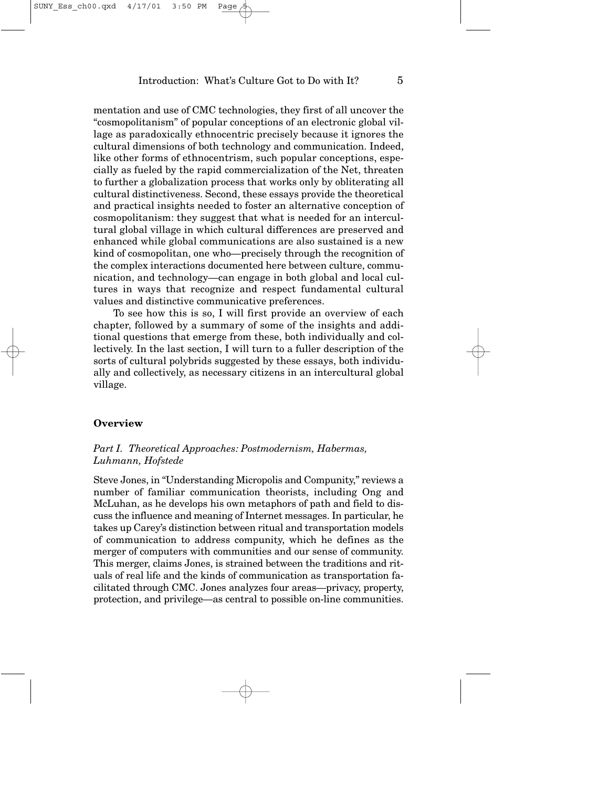mentation and use of CMC technologies, they first of all uncover the "cosmopolitanism" of popular conceptions of an electronic global village as paradoxically ethnocentric precisely because it ignores the cultural dimensions of both technology and communication. Indeed, like other forms of ethnocentrism, such popular conceptions, especially as fueled by the rapid commercialization of the Net, threaten to further a globalization process that works only by obliterating all cultural distinctiveness. Second, these essays provide the theoretical and practical insights needed to foster an alternative conception of cosmopolitanism: they suggest that what is needed for an intercultural global village in which cultural differences are preserved and enhanced while global communications are also sustained is a new kind of cosmopolitan, one who—precisely through the recognition of the complex interactions documented here between culture, communication, and technology—can engage in both global and local cultures in ways that recognize and respect fundamental cultural values and distinctive communicative preferences.

To see how this is so, I will first provide an overview of each chapter, followed by a summary of some of the insights and additional questions that emerge from these, both individually and collectively. In the last section, I will turn to a fuller description of the sorts of cultural polybrids suggested by these essays, both individually and collectively, as necessary citizens in an intercultural global village.

#### **Overview**

# *Part I. Theoretical Approaches: Postmodernism, Habermas, Luhmann, Hofstede*

Steve Jones, in "Understanding Micropolis and Compunity," reviews a number of familiar communication theorists, including Ong and McLuhan, as he develops his own metaphors of path and field to discuss the influence and meaning of Internet messages. In particular, he takes up Carey's distinction between ritual and transportation models of communication to address compunity, which he defines as the merger of computers with communities and our sense of community. This merger, claims Jones, is strained between the traditions and rituals of real life and the kinds of communication as transportation facilitated through CMC. Jones analyzes four areas—privacy, property, protection, and privilege—as central to possible on-line communities.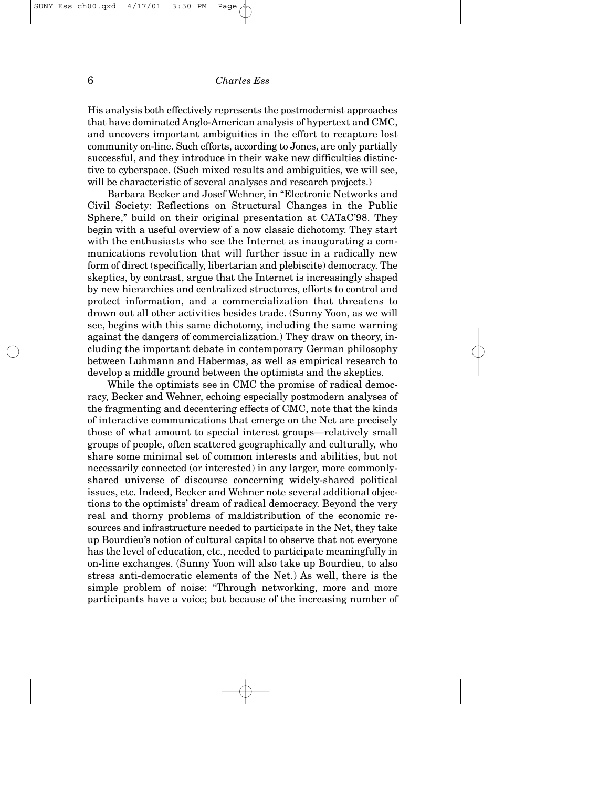### 6 *Charles Ess*

His analysis both effectively represents the postmodernist approaches that have dominated Anglo-American analysis of hypertext and CMC, and uncovers important ambiguities in the effort to recapture lost community on-line. Such efforts, according to Jones, are only partially successful, and they introduce in their wake new difficulties distinctive to cyberspace. (Such mixed results and ambiguities, we will see, will be characteristic of several analyses and research projects.)

Barbara Becker and Josef Wehner, in "Electronic Networks and Civil Society: Reflections on Structural Changes in the Public Sphere," build on their original presentation at CATaC'98. They begin with a useful overview of a now classic dichotomy. They start with the enthusiasts who see the Internet as inaugurating a communications revolution that will further issue in a radically new form of direct (specifically, libertarian and plebiscite) democracy. The skeptics, by contrast, argue that the Internet is increasingly shaped by new hierarchies and centralized structures, efforts to control and protect information, and a commercialization that threatens to drown out all other activities besides trade. (Sunny Yoon, as we will see, begins with this same dichotomy, including the same warning against the dangers of commercialization.) They draw on theory, including the important debate in contemporary German philosophy between Luhmann and Habermas, as well as empirical research to develop a middle ground between the optimists and the skeptics.

While the optimists see in CMC the promise of radical democracy, Becker and Wehner, echoing especially postmodern analyses of the fragmenting and decentering effects of CMC, note that the kinds of interactive communications that emerge on the Net are precisely those of what amount to special interest groups—relatively small groups of people, often scattered geographically and culturally, who share some minimal set of common interests and abilities, but not necessarily connected (or interested) in any larger, more commonlyshared universe of discourse concerning widely-shared political issues, etc. Indeed, Becker and Wehner note several additional objections to the optimists' dream of radical democracy. Beyond the very real and thorny problems of maldistribution of the economic resources and infrastructure needed to participate in the Net, they take up Bourdieu's notion of cultural capital to observe that not everyone has the level of education, etc., needed to participate meaningfully in on-line exchanges. (Sunny Yoon will also take up Bourdieu, to also stress anti-democratic elements of the Net.) As well, there is the simple problem of noise: "Through networking, more and more participants have a voice; but because of the increasing number of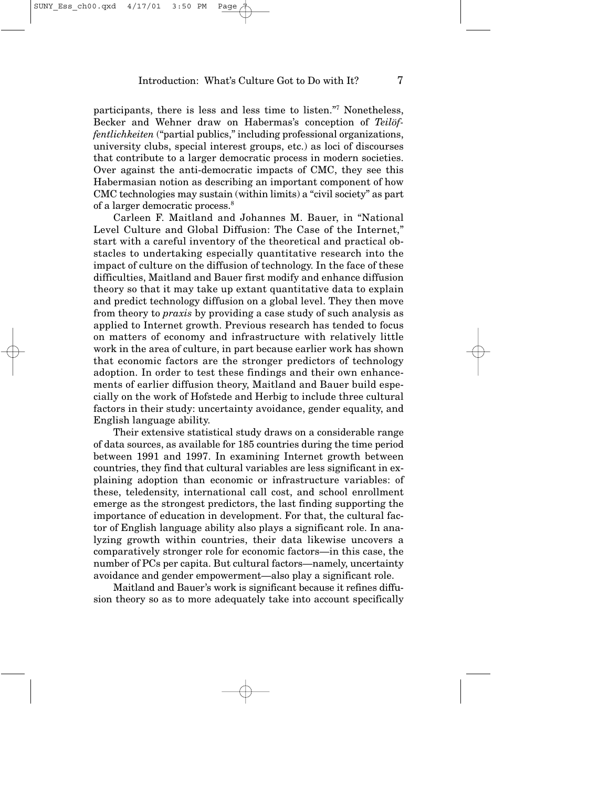participants, there is less and less time to listen."7 Nonetheless, Becker and Wehner draw on Habermas's conception of *Teilöffentlichkeiten* ("partial publics," including professional organizations, university clubs, special interest groups, etc.) as loci of discourses that contribute to a larger democratic process in modern societies. Over against the anti-democratic impacts of CMC, they see this Habermasian notion as describing an important component of how CMC technologies may sustain (within limits) a "civil society" as part of a larger democratic process.8

Carleen F. Maitland and Johannes M. Bauer, in "National Level Culture and Global Diffusion: The Case of the Internet," start with a careful inventory of the theoretical and practical obstacles to undertaking especially quantitative research into the impact of culture on the diffusion of technology. In the face of these difficulties, Maitland and Bauer first modify and enhance diffusion theory so that it may take up extant quantitative data to explain and predict technology diffusion on a global level. They then move from theory to *praxis* by providing a case study of such analysis as applied to Internet growth. Previous research has tended to focus on matters of economy and infrastructure with relatively little work in the area of culture, in part because earlier work has shown that economic factors are the stronger predictors of technology adoption. In order to test these findings and their own enhancements of earlier diffusion theory, Maitland and Bauer build especially on the work of Hofstede and Herbig to include three cultural factors in their study: uncertainty avoidance, gender equality, and English language ability.

Their extensive statistical study draws on a considerable range of data sources, as available for 185 countries during the time period between 1991 and 1997. In examining Internet growth between countries, they find that cultural variables are less significant in explaining adoption than economic or infrastructure variables: of these, teledensity, international call cost, and school enrollment emerge as the strongest predictors, the last finding supporting the importance of education in development. For that, the cultural factor of English language ability also plays a significant role. In analyzing growth within countries, their data likewise uncovers a comparatively stronger role for economic factors—in this case, the number of PCs per capita. But cultural factors—namely, uncertainty avoidance and gender empowerment—also play a significant role.

Maitland and Bauer's work is significant because it refines diffusion theory so as to more adequately take into account specifically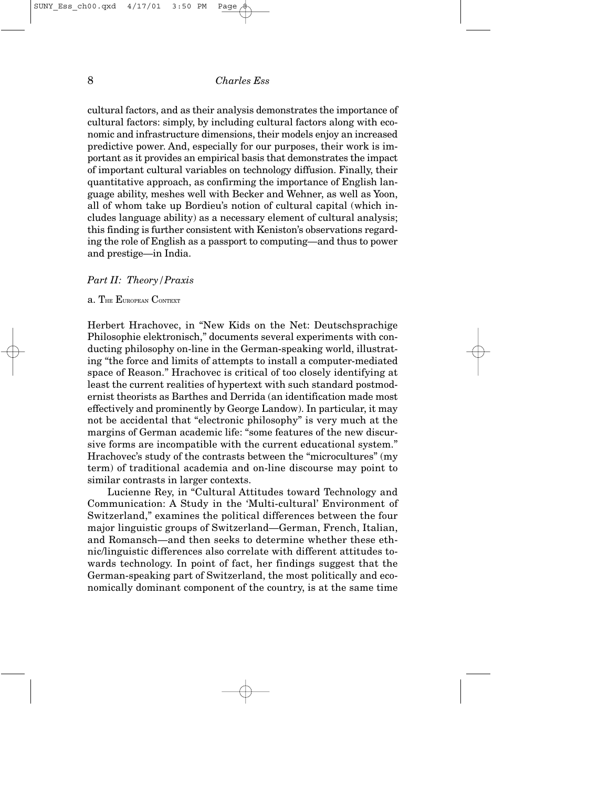cultural factors, and as their analysis demonstrates the importance of cultural factors: simply, by including cultural factors along with economic and infrastructure dimensions, their models enjoy an increased predictive power. And, especially for our purposes, their work is important as it provides an empirical basis that demonstrates the impact of important cultural variables on technology diffusion. Finally, their quantitative approach, as confirming the importance of English language ability, meshes well with Becker and Wehner, as well as Yoon, all of whom take up Bordieu's notion of cultural capital (which includes language ability) as a necessary element of cultural analysis; this finding is further consistent with Keniston's observations regarding the role of English as a passport to computing—and thus to power and prestige—in India.

#### *Part II: Theory/Praxis*

a. THE EUROPEAN CONTEXT

Herbert Hrachovec, in "New Kids on the Net: Deutschsprachige Philosophie elektronisch," documents several experiments with conducting philosophy on-line in the German-speaking world, illustrating "the force and limits of attempts to install a computer-mediated space of Reason." Hrachovec is critical of too closely identifying at least the current realities of hypertext with such standard postmodernist theorists as Barthes and Derrida (an identification made most effectively and prominently by George Landow). In particular, it may not be accidental that "electronic philosophy" is very much at the margins of German academic life: "some features of the new discursive forms are incompatible with the current educational system." Hrachovec's study of the contrasts between the "microcultures" (my term) of traditional academia and on-line discourse may point to similar contrasts in larger contexts.

Lucienne Rey, in "Cultural Attitudes toward Technology and Communication: A Study in the 'Multi-cultural' Environment of Switzerland," examines the political differences between the four major linguistic groups of Switzerland—German, French, Italian, and Romansch—and then seeks to determine whether these ethnic/linguistic differences also correlate with different attitudes towards technology. In point of fact, her findings suggest that the German-speaking part of Switzerland, the most politically and economically dominant component of the country, is at the same time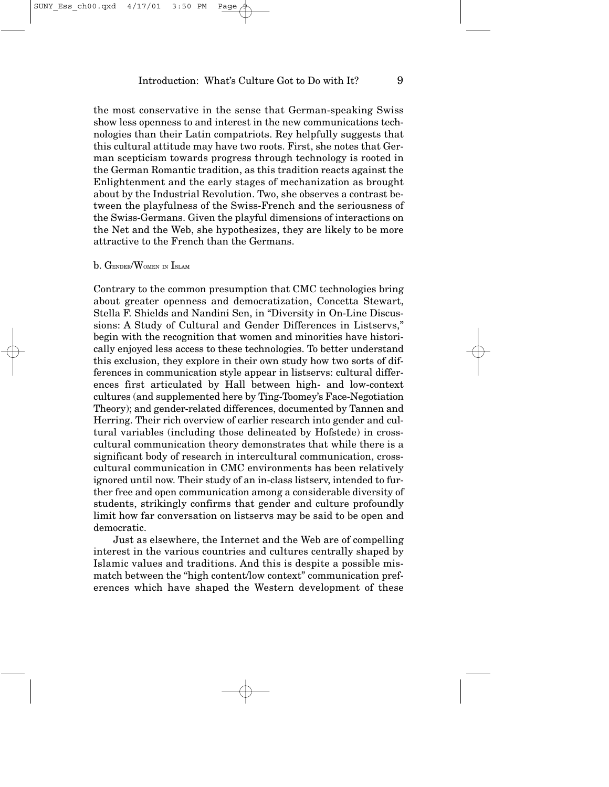the most conservative in the sense that German-speaking Swiss show less openness to and interest in the new communications technologies than their Latin compatriots. Rey helpfully suggests that this cultural attitude may have two roots. First, she notes that German scepticism towards progress through technology is rooted in the German Romantic tradition, as this tradition reacts against the Enlightenment and the early stages of mechanization as brought about by the Industrial Revolution. Two, she observes a contrast between the playfulness of the Swiss-French and the seriousness of the Swiss-Germans. Given the playful dimensions of interactions on the Net and the Web, she hypothesizes, they are likely to be more attractive to the French than the Germans.

### b. GENDER/WOMEN IN ISLAM

Contrary to the common presumption that CMC technologies bring about greater openness and democratization, Concetta Stewart, Stella F. Shields and Nandini Sen, in "Diversity in On-Line Discussions: A Study of Cultural and Gender Differences in Listservs," begin with the recognition that women and minorities have historically enjoyed less access to these technologies. To better understand this exclusion, they explore in their own study how two sorts of differences in communication style appear in listservs: cultural differences first articulated by Hall between high- and low-context cultures (and supplemented here by Ting-Toomey's Face-Negotiation Theory); and gender-related differences, documented by Tannen and Herring. Their rich overview of earlier research into gender and cultural variables (including those delineated by Hofstede) in crosscultural communication theory demonstrates that while there is a significant body of research in intercultural communication, crosscultural communication in CMC environments has been relatively ignored until now. Their study of an in-class listserv, intended to further free and open communication among a considerable diversity of students, strikingly confirms that gender and culture profoundly limit how far conversation on listservs may be said to be open and democratic.

Just as elsewhere, the Internet and the Web are of compelling interest in the various countries and cultures centrally shaped by Islamic values and traditions. And this is despite a possible mismatch between the "high content/low context" communication preferences which have shaped the Western development of these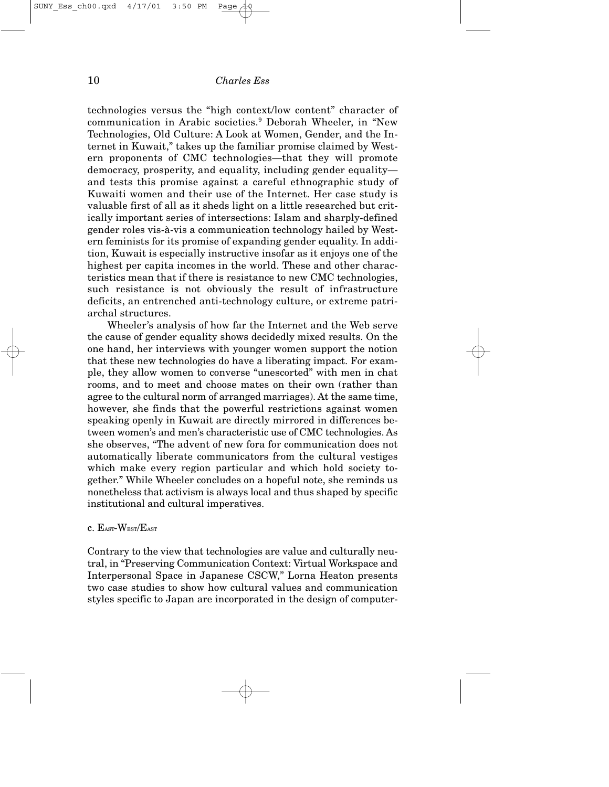technologies versus the "high context/low content" character of communication in Arabic societies.9 Deborah Wheeler, in "New Technologies, Old Culture: A Look at Women, Gender, and the Internet in Kuwait," takes up the familiar promise claimed by Western proponents of CMC technologies—that they will promote democracy, prosperity, and equality, including gender equality and tests this promise against a careful ethnographic study of Kuwaiti women and their use of the Internet. Her case study is valuable first of all as it sheds light on a little researched but critically important series of intersections: Islam and sharply-defined gender roles vis-à-vis a communication technology hailed by Western feminists for its promise of expanding gender equality. In addition, Kuwait is especially instructive insofar as it enjoys one of the highest per capita incomes in the world. These and other characteristics mean that if there is resistance to new CMC technologies, such resistance is not obviously the result of infrastructure deficits, an entrenched anti-technology culture, or extreme patriarchal structures.

Wheeler's analysis of how far the Internet and the Web serve the cause of gender equality shows decidedly mixed results. On the one hand, her interviews with younger women support the notion that these new technologies do have a liberating impact. For example, they allow women to converse "unescorted" with men in chat rooms, and to meet and choose mates on their own (rather than agree to the cultural norm of arranged marriages). At the same time, however, she finds that the powerful restrictions against women speaking openly in Kuwait are directly mirrored in differences between women's and men's characteristic use of CMC technologies. As she observes, "The advent of new fora for communication does not automatically liberate communicators from the cultural vestiges which make every region particular and which hold society together." While Wheeler concludes on a hopeful note, she reminds us nonetheless that activism is always local and thus shaped by specific institutional and cultural imperatives.

#### c. EAST-WEST/EAST

Contrary to the view that technologies are value and culturally neutral, in "Preserving Communication Context: Virtual Workspace and Interpersonal Space in Japanese CSCW," Lorna Heaton presents two case studies to show how cultural values and communication styles specific to Japan are incorporated in the design of computer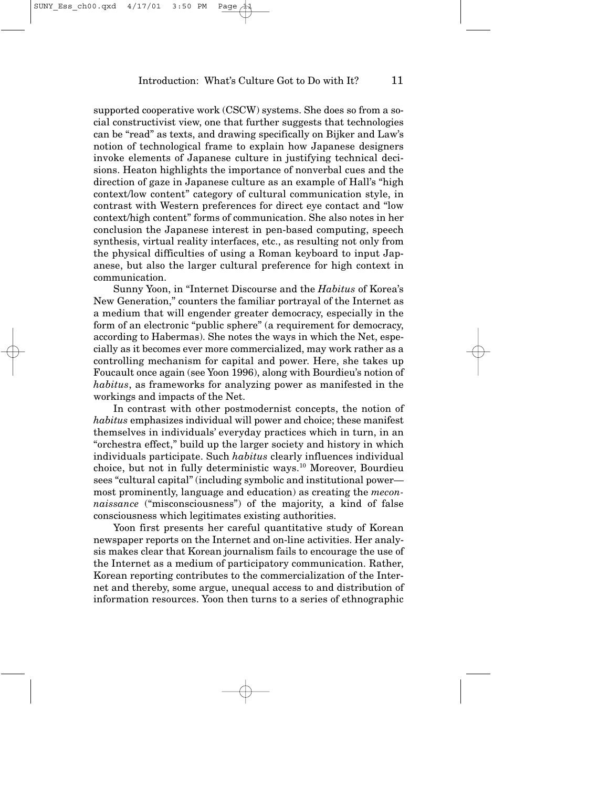supported cooperative work (CSCW) systems. She does so from a social constructivist view, one that further suggests that technologies can be "read" as texts, and drawing specifically on Bijker and Law's notion of technological frame to explain how Japanese designers invoke elements of Japanese culture in justifying technical decisions. Heaton highlights the importance of nonverbal cues and the direction of gaze in Japanese culture as an example of Hall's "high context/low content" category of cultural communication style, in contrast with Western preferences for direct eye contact and "low context/high content" forms of communication. She also notes in her conclusion the Japanese interest in pen-based computing, speech synthesis, virtual reality interfaces, etc., as resulting not only from the physical difficulties of using a Roman keyboard to input Japanese, but also the larger cultural preference for high context in communication.

Sunny Yoon, in "Internet Discourse and the *Habitus* of Korea's New Generation," counters the familiar portrayal of the Internet as a medium that will engender greater democracy, especially in the form of an electronic "public sphere" (a requirement for democracy, according to Habermas). She notes the ways in which the Net, especially as it becomes ever more commercialized, may work rather as a controlling mechanism for capital and power. Here, she takes up Foucault once again (see Yoon 1996), along with Bourdieu's notion of *habitus*, as frameworks for analyzing power as manifested in the workings and impacts of the Net.

In contrast with other postmodernist concepts, the notion of *habitus* emphasizes individual will power and choice; these manifest themselves in individuals' everyday practices which in turn, in an "orchestra effect," build up the larger society and history in which individuals participate. Such *habitus* clearly influences individual choice, but not in fully deterministic ways.10 Moreover, Bourdieu sees "cultural capital" (including symbolic and institutional power most prominently, language and education) as creating the *meconnaissance* ("misconsciousness") of the majority, a kind of false consciousness which legitimates existing authorities.

Yoon first presents her careful quantitative study of Korean newspaper reports on the Internet and on-line activities. Her analysis makes clear that Korean journalism fails to encourage the use of the Internet as a medium of participatory communication. Rather, Korean reporting contributes to the commercialization of the Internet and thereby, some argue, unequal access to and distribution of information resources. Yoon then turns to a series of ethnographic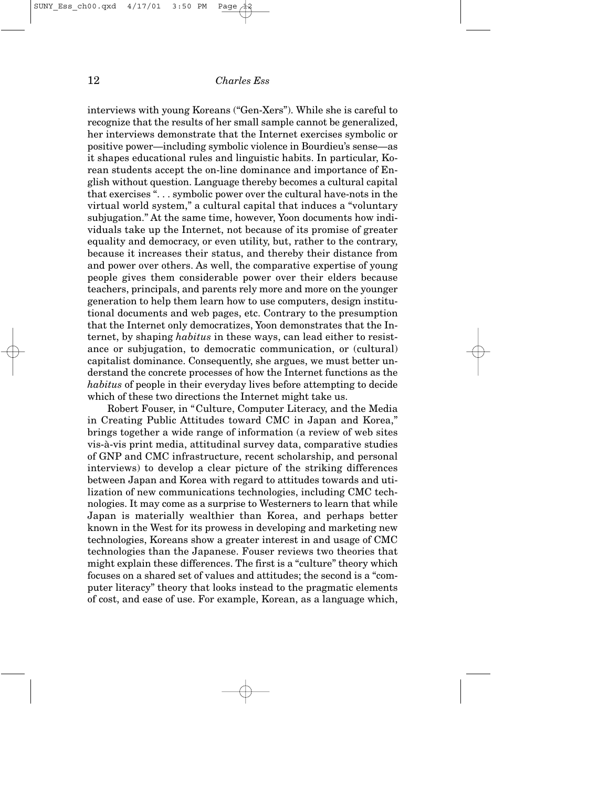interviews with young Koreans ("Gen-Xers"). While she is careful to recognize that the results of her small sample cannot be generalized, her interviews demonstrate that the Internet exercises symbolic or positive power—including symbolic violence in Bourdieu's sense—as it shapes educational rules and linguistic habits. In particular, Korean students accept the on-line dominance and importance of English without question. Language thereby becomes a cultural capital that exercises ". . . symbolic power over the cultural have-nots in the virtual world system," a cultural capital that induces a "voluntary subjugation." At the same time, however, Yoon documents how individuals take up the Internet, not because of its promise of greater equality and democracy, or even utility, but, rather to the contrary, because it increases their status, and thereby their distance from and power over others. As well, the comparative expertise of young people gives them considerable power over their elders because teachers, principals, and parents rely more and more on the younger generation to help them learn how to use computers, design institutional documents and web pages, etc. Contrary to the presumption that the Internet only democratizes, Yoon demonstrates that the Internet, by shaping *habitus* in these ways, can lead either to resistance or subjugation, to democratic communication, or (cultural) capitalist dominance. Consequently, she argues, we must better understand the concrete processes of how the Internet functions as the *habitus* of people in their everyday lives before attempting to decide which of these two directions the Internet might take us.

Robert Fouser, in "Culture, Computer Literacy, and the Media in Creating Public Attitudes toward CMC in Japan and Korea," brings together a wide range of information (a review of web sites vis-à-vis print media, attitudinal survey data, comparative studies of GNP and CMC infrastructure, recent scholarship, and personal interviews) to develop a clear picture of the striking differences between Japan and Korea with regard to attitudes towards and utilization of new communications technologies, including CMC technologies. It may come as a surprise to Westerners to learn that while Japan is materially wealthier than Korea, and perhaps better known in the West for its prowess in developing and marketing new technologies, Koreans show a greater interest in and usage of CMC technologies than the Japanese. Fouser reviews two theories that might explain these differences. The first is a "culture" theory which focuses on a shared set of values and attitudes; the second is a "computer literacy" theory that looks instead to the pragmatic elements of cost, and ease of use. For example, Korean, as a language which,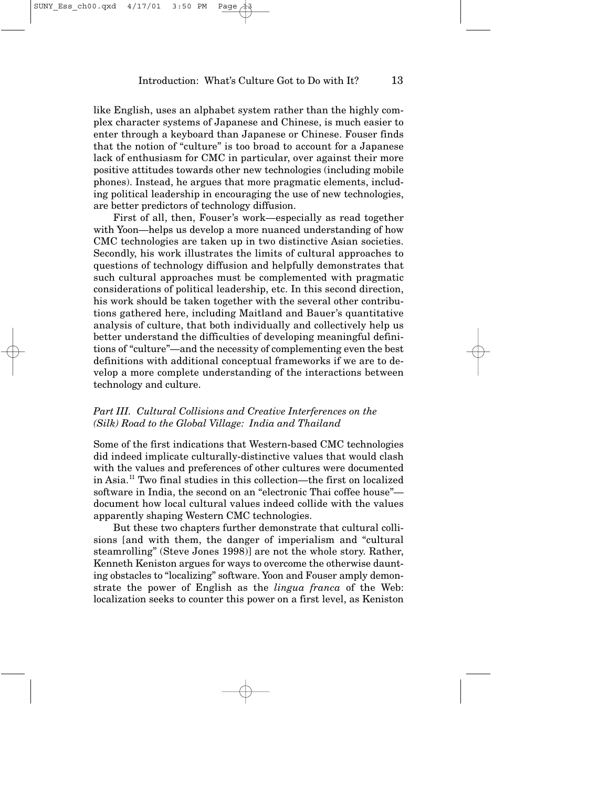like English, uses an alphabet system rather than the highly complex character systems of Japanese and Chinese, is much easier to enter through a keyboard than Japanese or Chinese. Fouser finds that the notion of "culture" is too broad to account for a Japanese lack of enthusiasm for CMC in particular, over against their more positive attitudes towards other new technologies (including mobile phones). Instead, he argues that more pragmatic elements, including political leadership in encouraging the use of new technologies, are better predictors of technology diffusion.

First of all, then, Fouser's work—especially as read together with Yoon—helps us develop a more nuanced understanding of how CMC technologies are taken up in two distinctive Asian societies. Secondly, his work illustrates the limits of cultural approaches to questions of technology diffusion and helpfully demonstrates that such cultural approaches must be complemented with pragmatic considerations of political leadership, etc. In this second direction, his work should be taken together with the several other contributions gathered here, including Maitland and Bauer's quantitative analysis of culture, that both individually and collectively help us better understand the difficulties of developing meaningful definitions of "culture"—and the necessity of complementing even the best definitions with additional conceptual frameworks if we are to develop a more complete understanding of the interactions between technology and culture.

# *Part III. Cultural Collisions and Creative Interferences on the (Silk) Road to the Global Village: India and Thailand*

Some of the first indications that Western-based CMC technologies did indeed implicate culturally-distinctive values that would clash with the values and preferences of other cultures were documented in Asia.11 Two final studies in this collection—the first on localized software in India, the second on an "electronic Thai coffee house" document how local cultural values indeed collide with the values apparently shaping Western CMC technologies.

But these two chapters further demonstrate that cultural collisions [and with them, the danger of imperialism and "cultural steamrolling" (Steve Jones 1998)] are not the whole story. Rather, Kenneth Keniston argues for ways to overcome the otherwise daunting obstacles to "localizing" software. Yoon and Fouser amply demonstrate the power of English as the *lingua franca* of the Web: localization seeks to counter this power on a first level, as Keniston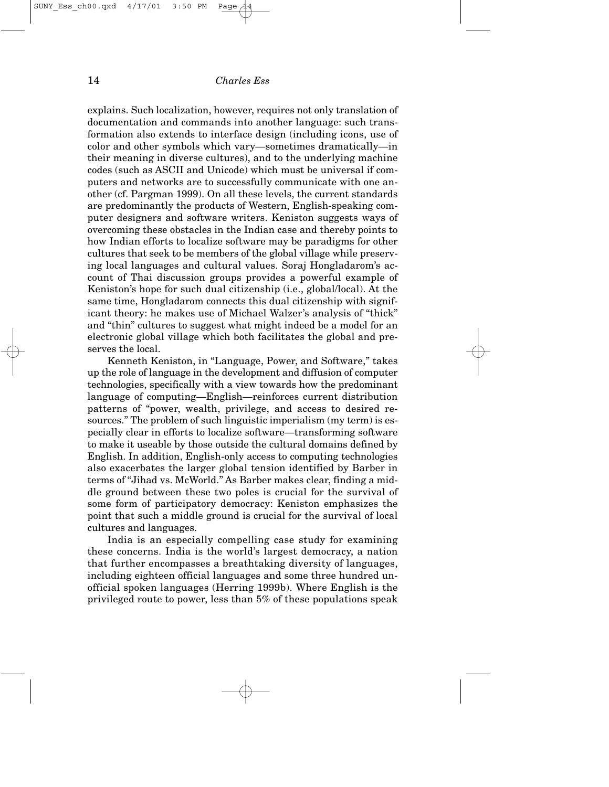explains. Such localization, however, requires not only translation of documentation and commands into another language: such transformation also extends to interface design (including icons, use of color and other symbols which vary—sometimes dramatically—in their meaning in diverse cultures), and to the underlying machine codes (such as ASCII and Unicode) which must be universal if computers and networks are to successfully communicate with one another (cf. Pargman 1999). On all these levels, the current standards are predominantly the products of Western, English-speaking computer designers and software writers. Keniston suggests ways of overcoming these obstacles in the Indian case and thereby points to how Indian efforts to localize software may be paradigms for other cultures that seek to be members of the global village while preserving local languages and cultural values. Soraj Hongladarom's account of Thai discussion groups provides a powerful example of Keniston's hope for such dual citizenship (i.e., global/local). At the same time, Hongladarom connects this dual citizenship with significant theory: he makes use of Michael Walzer's analysis of "thick" and "thin" cultures to suggest what might indeed be a model for an electronic global village which both facilitates the global and preserves the local.

Kenneth Keniston, in "Language, Power, and Software," takes up the role of language in the development and diffusion of computer technologies, specifically with a view towards how the predominant language of computing—English—reinforces current distribution patterns of "power, wealth, privilege, and access to desired resources." The problem of such linguistic imperialism (my term) is especially clear in efforts to localize software—transforming software to make it useable by those outside the cultural domains defined by English. In addition, English-only access to computing technologies also exacerbates the larger global tension identified by Barber in terms of "Jihad vs. McWorld." As Barber makes clear, finding a middle ground between these two poles is crucial for the survival of some form of participatory democracy: Keniston emphasizes the point that such a middle ground is crucial for the survival of local cultures and languages.

India is an especially compelling case study for examining these concerns. India is the world's largest democracy, a nation that further encompasses a breathtaking diversity of languages, including eighteen official languages and some three hundred unofficial spoken languages (Herring 1999b). Where English is the privileged route to power, less than 5% of these populations speak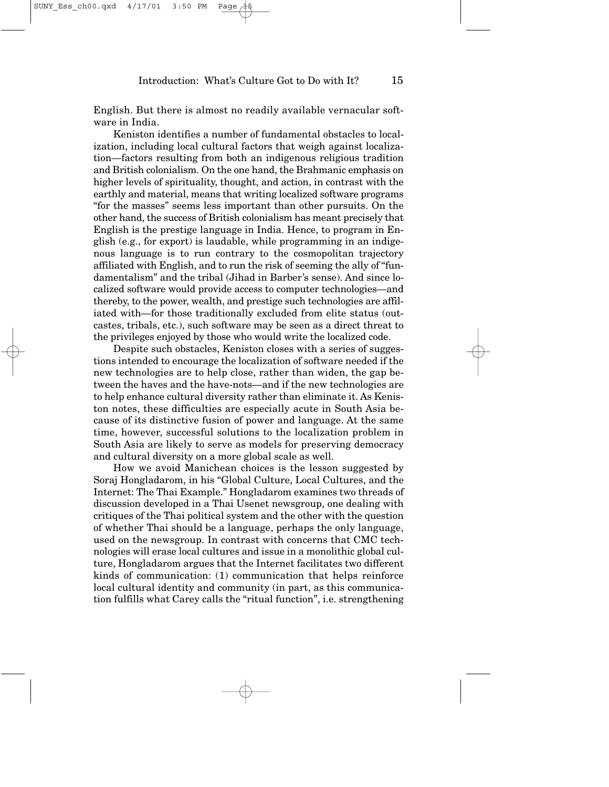English. But there is almost no readily available vernacular software in India.

Keniston identifies a number of fundamental obstacles to localization, including local cultural factors that weigh against localization—factors resulting from both an indigenous religious tradition and British colonialism. On the one hand, the Brahmanic emphasis on higher levels of spirituality, thought, and action, in contrast with the earthly and material, means that writing localized software programs "for the masses" seems less important than other pursuits. On the other hand, the success of British colonialism has meant precisely that English is the prestige language in India. Hence, to program in English (e.g., for export) is laudable, while programming in an indigenous language is to run contrary to the cosmopolitan trajectory affiliated with English, and to run the risk of seeming the ally of "fundamentalism" and the tribal (Jihad in Barber's sense). And since localized software would provide access to computer technologies—and thereby, to the power, wealth, and prestige such technologies are affiliated with—for those traditionally excluded from elite status (outcastes, tribals, etc.), such software may be seen as a direct threat to the privileges enjoyed by those who would write the localized code.

Despite such obstacles, Keniston closes with a series of suggestions intended to encourage the localization of software needed if the new technologies are to help close, rather than widen, the gap between the haves and the have-nots—and if the new technologies are to help enhance cultural diversity rather than eliminate it. As Keniston notes, these difficulties are especially acute in South Asia because of its distinctive fusion of power and language. At the same time, however, successful solutions to the localization problem in South Asia are likely to serve as models for preserving democracy and cultural diversity on a more global scale as well.

How we avoid Manichean choices is the lesson suggested by Soraj Hongladarom, in his "Global Culture, Local Cultures, and the Internet: The Thai Example." Hongladarom examines two threads of discussion developed in a Thai Usenet newsgroup, one dealing with critiques of the Thai political system and the other with the question of whether Thai should be a language, perhaps the only language, used on the newsgroup. In contrast with concerns that CMC technologies will erase local cultures and issue in a monolithic global culture, Hongladarom argues that the Internet facilitates two different kinds of communication: (1) communication that helps reinforce local cultural identity and community (in part, as this communication fulfills what Carey calls the "ritual function", i.e. strengthening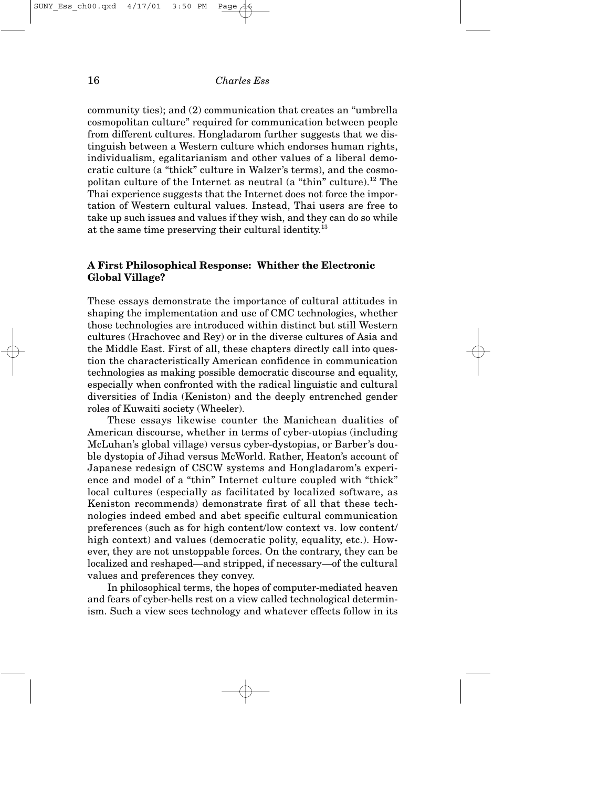community ties); and (2) communication that creates an "umbrella cosmopolitan culture" required for communication between people from different cultures. Hongladarom further suggests that we distinguish between a Western culture which endorses human rights, individualism, egalitarianism and other values of a liberal democratic culture (a "thick" culture in Walzer's terms), and the cosmopolitan culture of the Internet as neutral (a "thin" culture).<sup>12</sup> The Thai experience suggests that the Internet does not force the importation of Western cultural values. Instead, Thai users are free to take up such issues and values if they wish, and they can do so while at the same time preserving their cultural identity.13

# **A First Philosophical Response: Whither the Electronic Global Village?**

These essays demonstrate the importance of cultural attitudes in shaping the implementation and use of CMC technologies, whether those technologies are introduced within distinct but still Western cultures (Hrachovec and Rey) or in the diverse cultures of Asia and the Middle East. First of all, these chapters directly call into question the characteristically American confidence in communication technologies as making possible democratic discourse and equality, especially when confronted with the radical linguistic and cultural diversities of India (Keniston) and the deeply entrenched gender roles of Kuwaiti society (Wheeler).

These essays likewise counter the Manichean dualities of American discourse, whether in terms of cyber-utopias (including McLuhan's global village) versus cyber-dystopias, or Barber's double dystopia of Jihad versus McWorld. Rather, Heaton's account of Japanese redesign of CSCW systems and Hongladarom's experience and model of a "thin" Internet culture coupled with "thick" local cultures (especially as facilitated by localized software, as Keniston recommends) demonstrate first of all that these technologies indeed embed and abet specific cultural communication preferences (such as for high content/low context vs. low content/ high context) and values (democratic polity, equality, etc.). However, they are not unstoppable forces. On the contrary, they can be localized and reshaped—and stripped, if necessary—of the cultural values and preferences they convey.

In philosophical terms, the hopes of computer-mediated heaven and fears of cyber-hells rest on a view called technological determinism. Such a view sees technology and whatever effects follow in its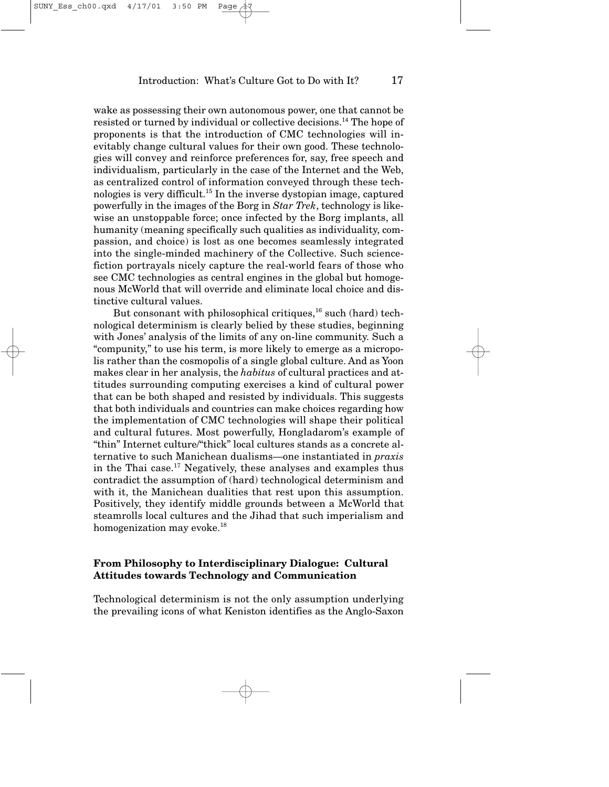wake as possessing their own autonomous power, one that cannot be resisted or turned by individual or collective decisions.14 The hope of proponents is that the introduction of CMC technologies will inevitably change cultural values for their own good. These technologies will convey and reinforce preferences for, say, free speech and individualism, particularly in the case of the Internet and the Web, as centralized control of information conveyed through these technologies is very difficult.15 In the inverse dystopian image, captured powerfully in the images of the Borg in *Star Trek*, technology is likewise an unstoppable force; once infected by the Borg implants, all humanity (meaning specifically such qualities as individuality, compassion, and choice) is lost as one becomes seamlessly integrated into the single-minded machinery of the Collective. Such sciencefiction portrayals nicely capture the real-world fears of those who see CMC technologies as central engines in the global but homogenous McWorld that will override and eliminate local choice and distinctive cultural values.

But consonant with philosophical critiques, $^{16}$  such (hard) technological determinism is clearly belied by these studies, beginning with Jones' analysis of the limits of any on-line community. Such a "compunity," to use his term, is more likely to emerge as a micropolis rather than the cosmopolis of a single global culture. And as Yoon makes clear in her analysis, the *habitus* of cultural practices and attitudes surrounding computing exercises a kind of cultural power that can be both shaped and resisted by individuals. This suggests that both individuals and countries can make choices regarding how the implementation of CMC technologies will shape their political and cultural futures. Most powerfully, Hongladarom's example of "thin" Internet culture/"thick" local cultures stands as a concrete alternative to such Manichean dualisms—one instantiated in *praxis* in the Thai case.<sup>17</sup> Negatively, these analyses and examples thus contradict the assumption of (hard) technological determinism and with it, the Manichean dualities that rest upon this assumption. Positively, they identify middle grounds between a McWorld that steamrolls local cultures and the Jihad that such imperialism and homogenization may evoke.<sup>18</sup>

## **From Philosophy to Interdisciplinary Dialogue: Cultural Attitudes towards Technology and Communication**

Technological determinism is not the only assumption underlying the prevailing icons of what Keniston identifies as the Anglo-Saxon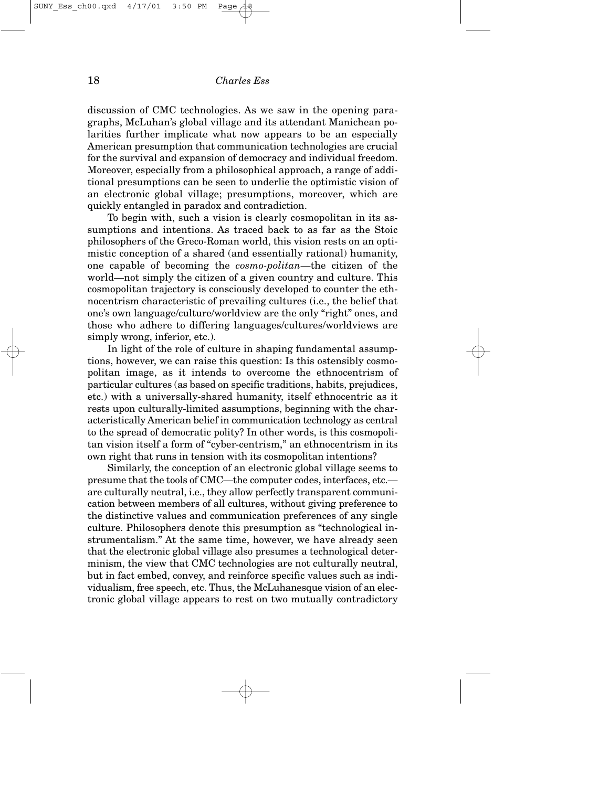discussion of CMC technologies. As we saw in the opening paragraphs, McLuhan's global village and its attendant Manichean polarities further implicate what now appears to be an especially American presumption that communication technologies are crucial for the survival and expansion of democracy and individual freedom. Moreover, especially from a philosophical approach, a range of additional presumptions can be seen to underlie the optimistic vision of an electronic global village; presumptions, moreover, which are quickly entangled in paradox and contradiction.

To begin with, such a vision is clearly cosmopolitan in its assumptions and intentions. As traced back to as far as the Stoic philosophers of the Greco-Roman world, this vision rests on an optimistic conception of a shared (and essentially rational) humanity, one capable of becoming the *cosmo-politan*—the citizen of the world—not simply the citizen of a given country and culture. This cosmopolitan trajectory is consciously developed to counter the ethnocentrism characteristic of prevailing cultures (i.e., the belief that one's own language/culture/worldview are the only "right" ones, and those who adhere to differing languages/cultures/worldviews are simply wrong, inferior, etc.).

In light of the role of culture in shaping fundamental assumptions, however, we can raise this question: Is this ostensibly cosmopolitan image, as it intends to overcome the ethnocentrism of particular cultures (as based on specific traditions, habits, prejudices, etc.) with a universally-shared humanity, itself ethnocentric as it rests upon culturally-limited assumptions, beginning with the characteristically American belief in communication technology as central to the spread of democratic polity? In other words, is this cosmopolitan vision itself a form of "cyber-centrism," an ethnocentrism in its own right that runs in tension with its cosmopolitan intentions?

Similarly, the conception of an electronic global village seems to presume that the tools of CMC—the computer codes, interfaces, etc. are culturally neutral, i.e., they allow perfectly transparent communication between members of all cultures, without giving preference to the distinctive values and communication preferences of any single culture. Philosophers denote this presumption as "technological instrumentalism." At the same time, however, we have already seen that the electronic global village also presumes a technological determinism, the view that CMC technologies are not culturally neutral, but in fact embed, convey, and reinforce specific values such as individualism, free speech, etc. Thus, the McLuhanesque vision of an electronic global village appears to rest on two mutually contradictory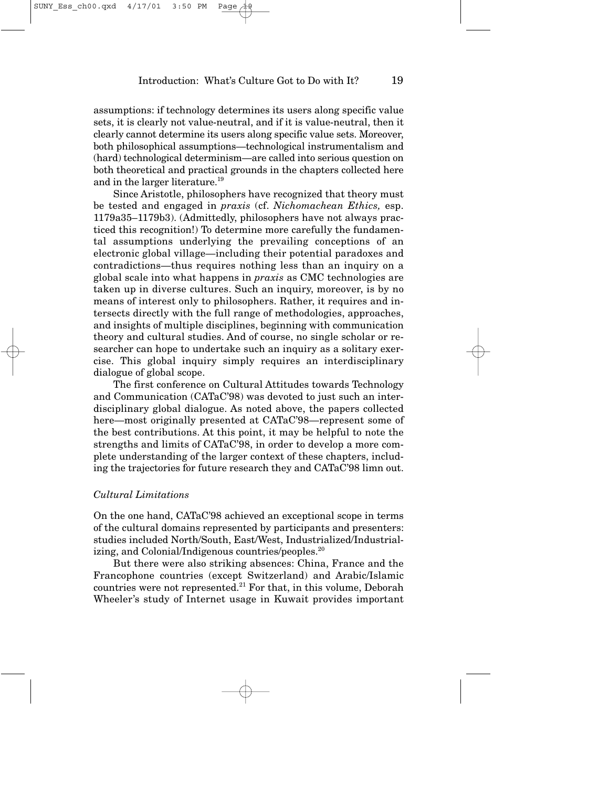assumptions: if technology determines its users along specific value sets, it is clearly not value-neutral, and if it is value-neutral, then it clearly cannot determine its users along specific value sets. Moreover, both philosophical assumptions—technological instrumentalism and (hard) technological determinism—are called into serious question on both theoretical and practical grounds in the chapters collected here and in the larger literature.19

Since Aristotle, philosophers have recognized that theory must be tested and engaged in *praxis* (cf. *Nichomachean Ethics,* esp. 1179a35–1179b3). (Admittedly, philosophers have not always practiced this recognition!) To determine more carefully the fundamental assumptions underlying the prevailing conceptions of an electronic global village—including their potential paradoxes and contradictions—thus requires nothing less than an inquiry on a global scale into what happens in *praxis* as CMC technologies are taken up in diverse cultures. Such an inquiry, moreover, is by no means of interest only to philosophers. Rather, it requires and intersects directly with the full range of methodologies, approaches, and insights of multiple disciplines, beginning with communication theory and cultural studies. And of course, no single scholar or researcher can hope to undertake such an inquiry as a solitary exercise. This global inquiry simply requires an interdisciplinary dialogue of global scope.

The first conference on Cultural Attitudes towards Technology and Communication (CATaC'98) was devoted to just such an interdisciplinary global dialogue. As noted above, the papers collected here—most originally presented at CATaC'98—represent some of the best contributions. At this point, it may be helpful to note the strengths and limits of CATaC'98, in order to develop a more complete understanding of the larger context of these chapters, including the trajectories for future research they and CATaC'98 limn out.

### *Cultural Limitations*

On the one hand, CATaC'98 achieved an exceptional scope in terms of the cultural domains represented by participants and presenters: studies included North/South, East/West, Industrialized/Industrializing, and Colonial/Indigenous countries/peoples.<sup>20</sup>

But there were also striking absences: China, France and the Francophone countries (except Switzerland) and Arabic/Islamic countries were not represented.<sup>21</sup> For that, in this volume, Deborah Wheeler's study of Internet usage in Kuwait provides important